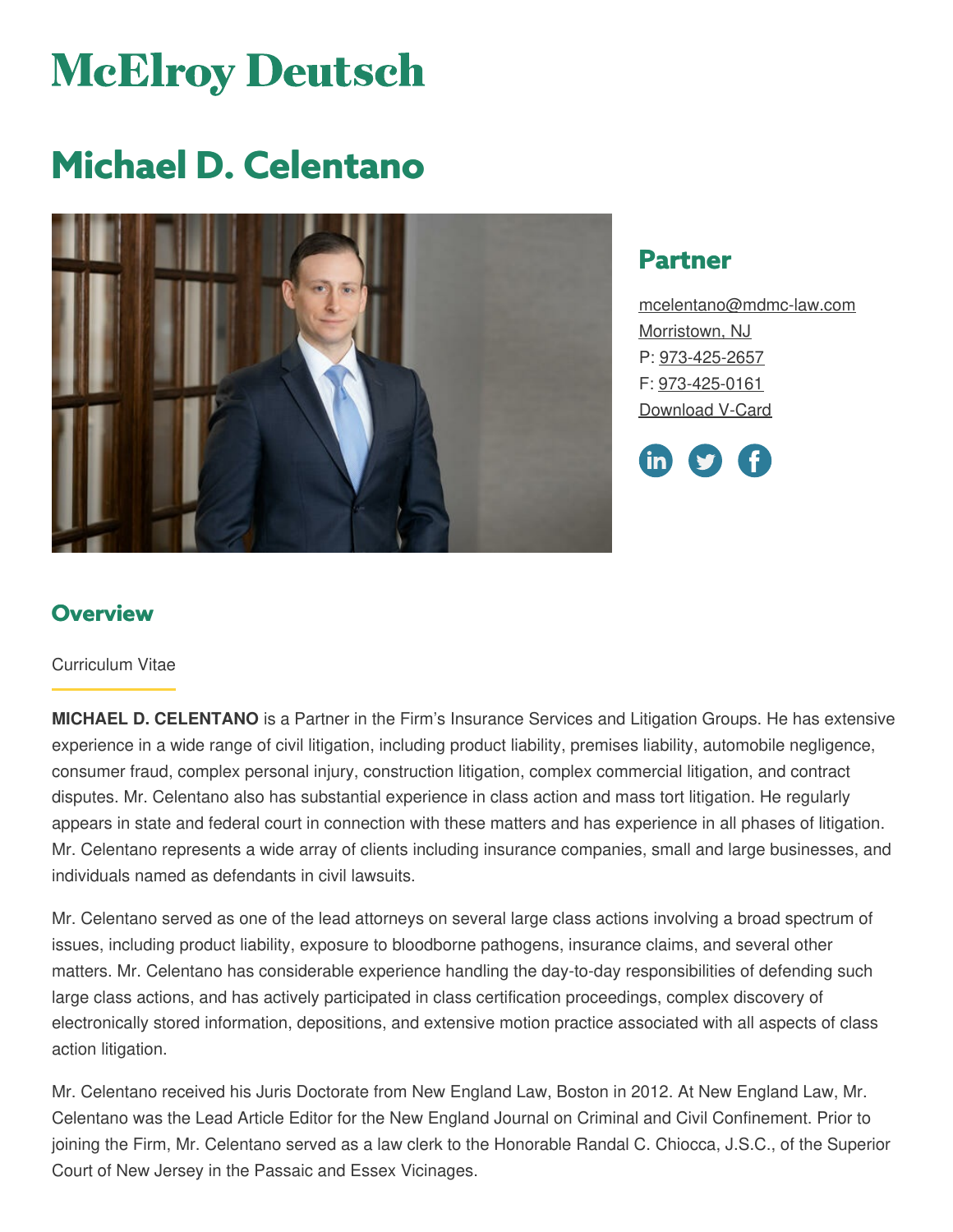# **McElroy Deutsch**

# **Michael D. Celentano**



# **Partner**

[mcelentano@mdmc-law.com](mailto:mcelentano@mdmc-law.com) [Morristown,](https://www.mdmc-law.com/offices/morristown) NJ P: [973-425-2657](tel:973-425-2657) F: [973-425-0161](tel:973-425-0161) [Download](https://www.mdmc-law.com/node/402/vcard) V-Card



# **Overview**

#### Curriculum Vitae

**MICHAEL D. CELENTANO** is a Partner in the Firm's Insurance Services and Litigation Groups. He has extensive experience in a wide range of civil litigation, including product liability, premises liability, automobile negligence, consumer fraud, complex personal injury, construction litigation, complex commercial litigation, and contract disputes. Mr. Celentano also has substantial experience in class action and mass tort litigation. He regularly appears in state and federal court in connection with these matters and has experience in all phases of litigation. Mr. Celentano represents a wide array of clients including insurance companies, small and large businesses, and individuals named as defendants in civil lawsuits.

Mr. Celentano served as one of the lead attorneys on several large class actions involving a broad spectrum of issues, including product liability, exposure to bloodborne pathogens, insurance claims, and several other matters. Mr. Celentano has considerable experience handling the day-to-day responsibilities of defending such large class actions, and has actively participated in class certification proceedings, complex discovery of electronically stored information, depositions, and extensive motion practice associated with all aspects of class action litigation.

Mr. Celentano received his Juris Doctorate from New England Law, Boston in 2012. At New England Law, Mr. Celentano was the Lead Article Editor for the New England Journal on Criminal and Civil Confinement. Prior to joining the Firm, Mr. Celentano served as a law clerk to the Honorable Randal C. Chiocca, J.S.C., of the Superior Court of New Jersey in the Passaic and Essex Vicinages.